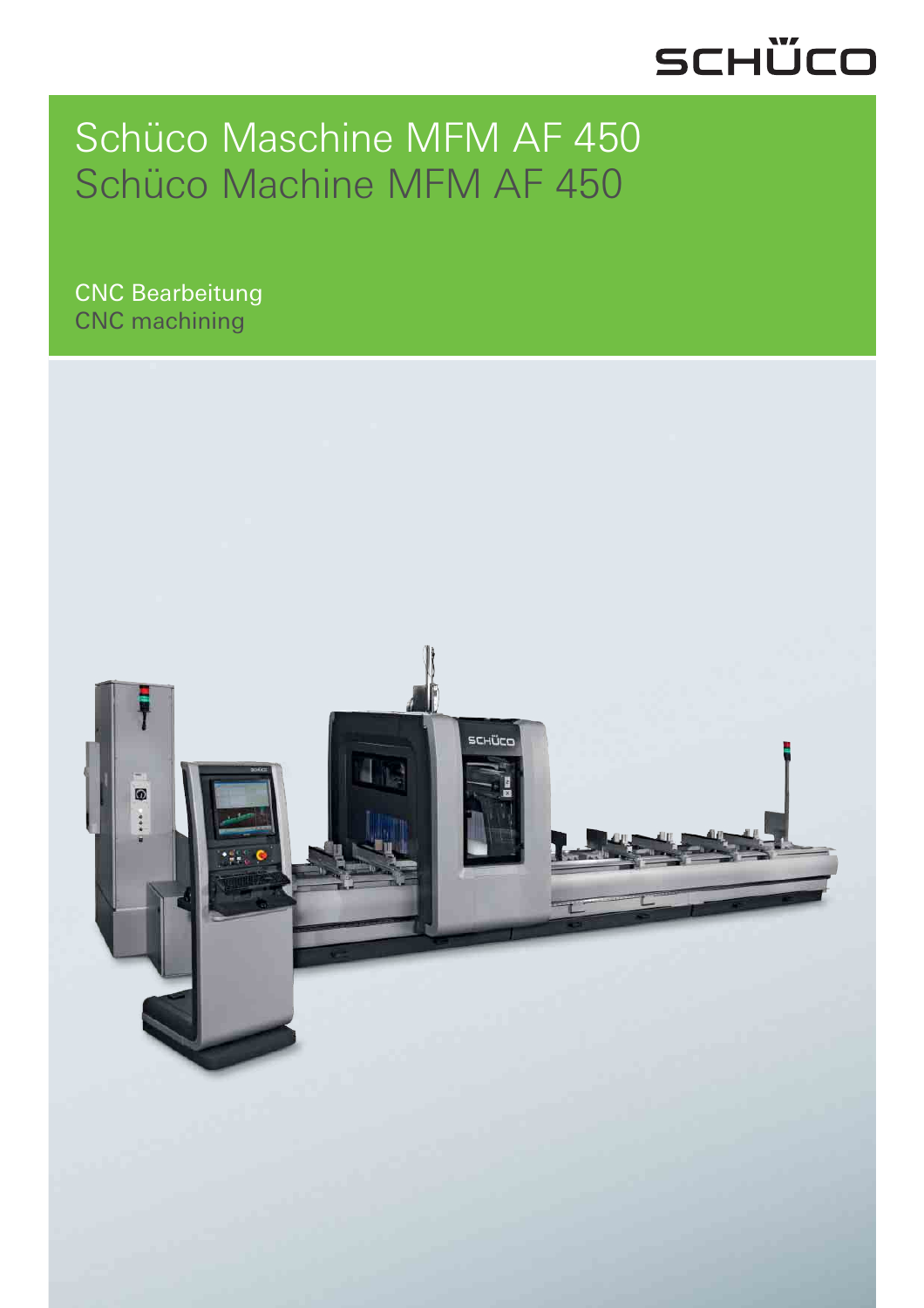# SCHÜCO

### Schüco Maschine MFM AF 450 Schüco Machine MFM AF 450

CNC Bearbeitung CNC machining

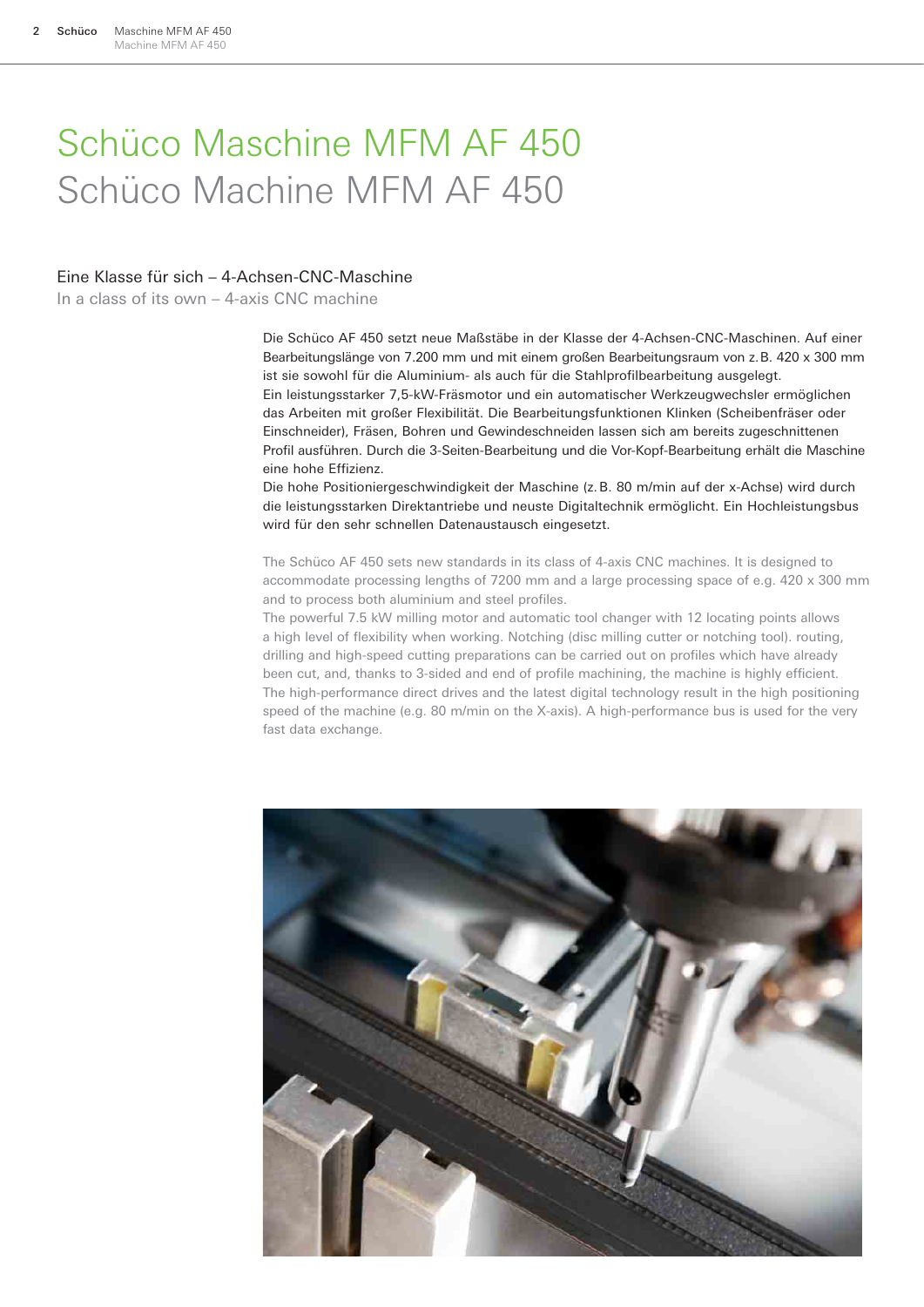### Schüco Maschine MFM AF 450 Schüco Machine MFM AF 450

#### Eine Klasse für sich – 4-Achsen-CNC-Maschine

In a class of its own – 4-axis CNC machine

Die Schüco AF 450 setzt neue Maßstäbe in der Klasse der 4-Achsen-CNC-Maschinen. Auf einer Bearbeitungslänge von 7.200 mm und mit einem großen Bearbeitungsraum von z. B. 420 x 300 mm ist sie sowohl für die Aluminium- als auch für die Stahlprofilbearbeitung ausgelegt. Ein leistungsstarker 7,5-kW-Fräsmotor und ein automatischer Werkzeugwechsler ermöglichen das Arbeiten mit großer Flexibilität. Die Bearbeitungsfunktionen Klinken (Scheibenfräser oder Einschneider), Fräsen, Bohren und Gewindeschneiden lassen sich am bereits zugeschnittenen Profil ausführen. Durch die 3-Seiten-Bearbeitung und die Vor-Kopf-Bearbeitung erhält die Maschine eine hohe Effizienz.

Die hohe Positioniergeschwindigkeit der Maschine (z. B. 80 m/min auf der x-Achse) wird durch die leistungsstarken Direktantriebe und neuste Digitaltechnik ermöglicht. Ein Hochleistungsbus wird für den sehr schnellen Datenaustausch eingesetzt.

The Schüco AF 450 sets new standards in its class of 4-axis CNC machines. It is designed to accommodate processing lengths of 7200 mm and a large processing space of e.g. 420 x 300 mm and to process both aluminium and steel profiles.

The powerful 7.5 kW milling motor and automatic tool changer with 12 locating points allows a high level of flexibility when working. Notching (disc milling cutter or notching tool). routing, drilling and high-speed cutting preparations can be carried out on profiles which have already been cut, and, thanks to 3-sided and end of profile machining, the machine is highly efficient. The high-performance direct drives and the latest digital technology result in the high positioning speed of the machine (e.g. 80 m/min on the X-axis). A high-performance bus is used for the very fast data exchange.

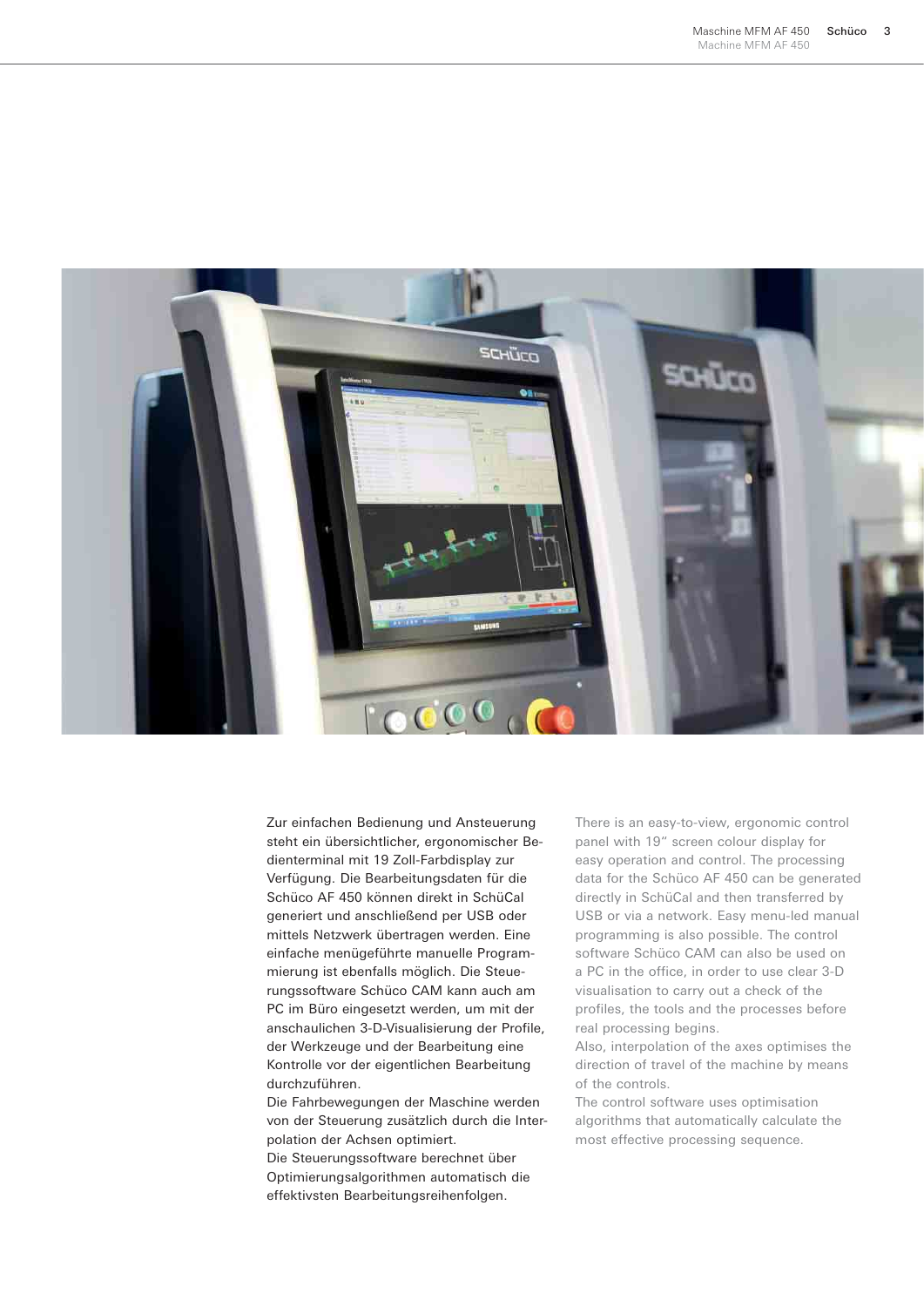

Zur einfachen Bedienung und Ansteuerung steht ein übersichtlicher, ergonomischer Bedienterminal mit 19 Zoll-Farbdisplay zur Verfügung. Die Bearbeitungsdaten für die Schüco AF 450 können direkt in SchüCal generiert und anschließend per USB oder mittels Netzwerk übertragen werden. Eine einfache menügeführte manuelle Programmierung ist ebenfalls möglich. Die Steuerungssoftware Schüco CAM kann auch am PC im Büro eingesetzt werden, um mit der anschaulichen 3-D-Visualisierung der Profile, der Werkzeuge und der Bearbeitung eine Kontrolle vor der eigentlichen Bearbeitung durchzuführen.

Die Fahrbewegungen der Maschine werden von der Steuerung zusätzlich durch die Interpolation der Achsen optimiert. Die Steuerungssoftware berechnet über Optimierungsalgorithmen automatisch die effektivsten Bearbeitungsreihenfolgen.

There is an easy-to-view, ergonomic control panel with 19" screen colour display for easy operation and control. The processing data for the Schüco AF 450 can be generated directly in SchüCal and then transferred by USB or via a network. Easy menu-led manual programming is also possible. The control software Schüco CAM can also be used on a PC in the office, in order to use clear 3-D visualisation to carry out a check of the profiles, the tools and the processes before real processing begins.

Also, interpolation of the axes optimises the direction of travel of the machine by means of the controls.

The control software uses optimisation algorithms that automatically calculate the most effective processing sequence.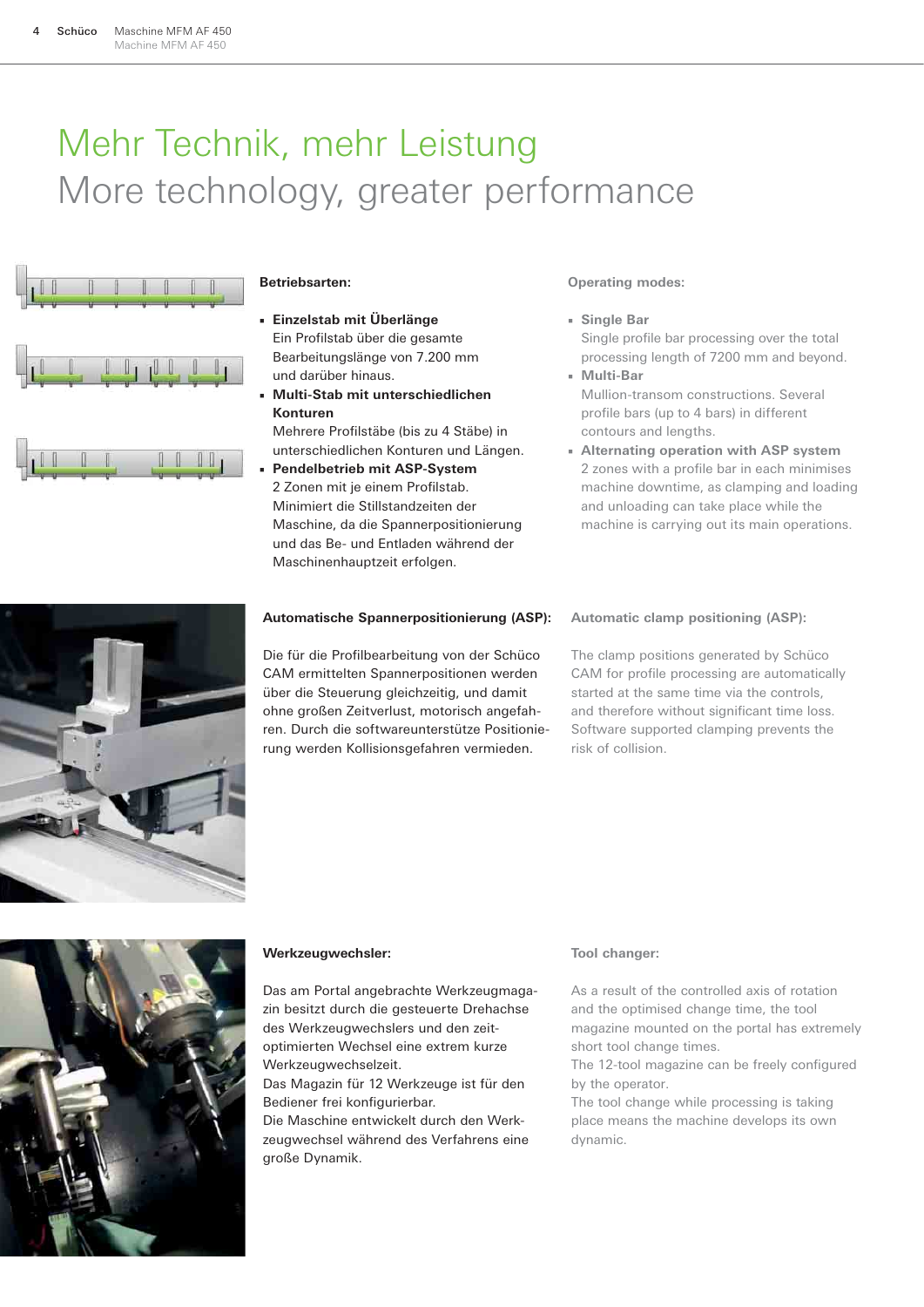## Mehr Technik, mehr Leistung More technology, greater performance



#### **Betriebsarten:**

- **Einzelstab mit Überlänge** Ein Profilstab über die gesamte Bearbeitungslänge von 7.200 mm und darüber hinaus.
- **Multi-Stab mit unterschiedlichen Konturen**

Mehrere Profilstäbe (bis zu 4 Stäbe) in unterschiedlichen Konturen und Längen.

**Pendelbetrieb mit ASP-System** 2 Zonen mit je einem Profilstab. Minimiert die Stillstandzeiten der Maschine, da die Spannerpositionierung und das Be- und Entladen während der Maschinenhauptzeit erfolgen.

#### **Operating modes:**

- **Single Bar** Single profile bar processing over the total processing length of 7200 mm and beyond. ■ **Multi-Bar**
- Mullion-transom constructions. Several profile bars (up to 4 bars) in different contours and lengths.
- **Alternating operation with ASP system** 2 zones with a profile bar in each minimises machine downtime, as clamping and loading and unloading can take place while the machine is carrying out its main operations.



#### **Automatische Spannerpositionierung (ASP):**

Die für die Profilbearbeitung von der Schüco CAM ermittelten Spannerpositionen werden über die Steuerung gleichzeitig, und damit ohne großen Zeitverlust, motorisch angefahren. Durch die softwareunterstütze Positionierung werden Kollisionsgefahren vermieden.

#### **Automatic clamp positioning (ASP):**

The clamp positions generated by Schüco CAM for profile processing are automatically started at the same time via the controls, and therefore without significant time loss. Software supported clamping prevents the risk of collision.



#### **Werkzeugwechsler:**

Das am Portal angebrachte Werkzeugmagazin besitzt durch die gesteuerte Drehachse des Werkzeugwechslers und den zeitoptimierten Wechsel eine extrem kurze Werkzeugwechselzeit.

Das Magazin für 12 Werkzeuge ist für den Bediener frei konfigurierbar.

Die Maschine entwickelt durch den Werkzeugwechsel während des Verfahrens eine große Dynamik.

#### **Tool changer:**

As a result of the controlled axis of rotation and the optimised change time, the tool magazine mounted on the portal has extremely short tool change times.

The 12-tool magazine can be freely configured by the operator.

The tool change while processing is taking place means the machine develops its own dynamic.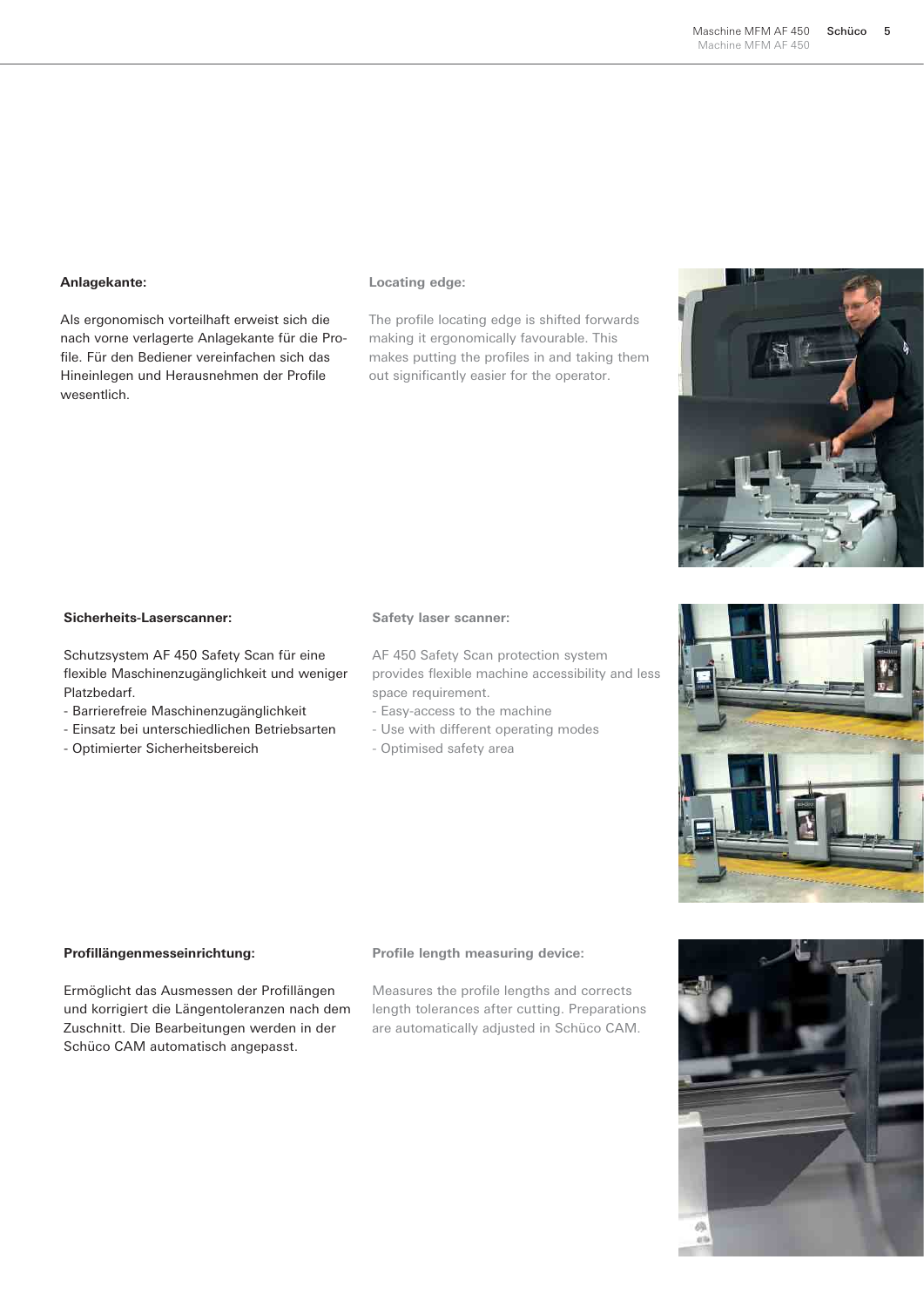#### **Anlagekante:**

Als ergonomisch vorteilhaft erweist sich die nach vorne verlagerte Anlagekante für die Profile. Für den Bediener vereinfachen sich das Hineinlegen und Herausnehmen der Profile wesentlich.

#### **Locating edge:**

The profile locating edge is shifted forwards making it ergonomically favourable. This makes putting the profiles in and taking them out significantly easier for the operator.

#### **Sicherheits-Laserscanner:**

Schutzsystem AF 450 Safety Scan für eine flexible Maschinenzugänglichkeit und weniger Platzbedarf.

- Barrierefreie Maschinenzugänglichkeit
- Einsatz bei unterschiedlichen Betriebsarten
- Optimierter Sicherheitsbereich

#### **Safety laser scanner:**

AF 450 Safety Scan protection system provides flexible machine accessibility and less space requirement.

- Easy-access to the machine
- Use with different operating modes
- Optimised safety area



Ermöglicht das Ausmessen der Profillängen und korrigiert die Längentoleranzen nach dem Zuschnitt. Die Bearbeitungen werden in der Schüco CAM automatisch angepasst.

#### **Profile length measuring device:**

Measures the profile lengths and corrects length tolerances after cutting. Preparations are automatically adjusted in Schüco CAM.





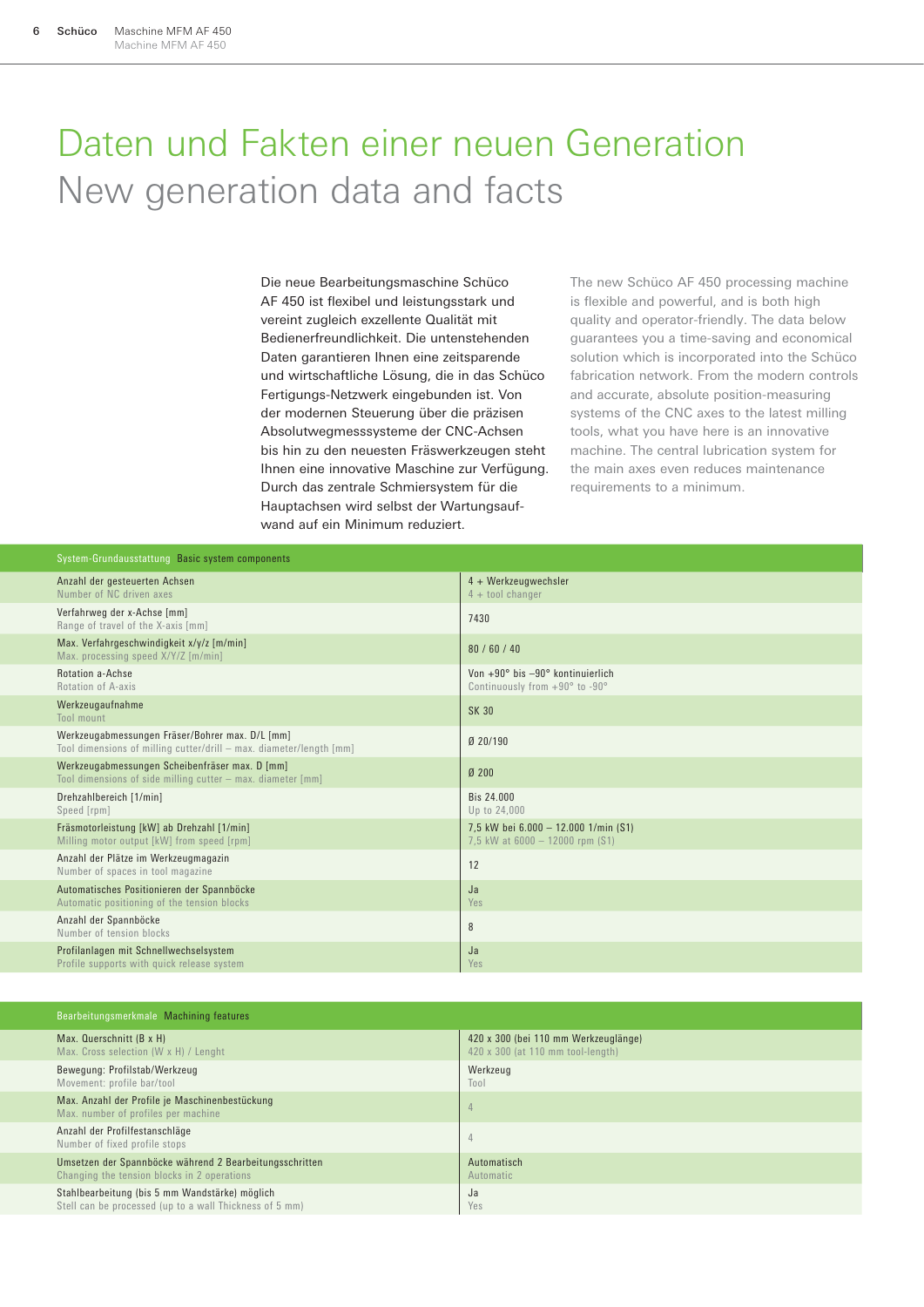### Daten und Fakten einer neuen Generation New generation data and facts

Die neue Bearbeitungsmaschine Schüco AF 450 ist flexibel und leistungsstark und vereint zugleich exzellente Qualität mit Bedienerfreundlichkeit. Die untenstehenden Daten garantieren Ihnen eine zeitsparende und wirtschaftliche Lösung, die in das Schüco Fertigungs-Netzwerk eingebunden ist. Von der modernen Steuerung über die präzisen Absolutwegmesssysteme der CNC-Achsen bis hin zu den neuesten Fräswerkzeugen steht Ihnen eine innovative Maschine zur Verfügung. Durch das zentrale Schmiersystem für die Hauptachsen wird selbst der Wartungsaufwand auf ein Minimum reduziert.

The new Schüco AF 450 processing machine is flexible and powerful, and is both high quality and operator-friendly. The data below guarantees you a time-saving and economical solution which is incorporated into the Schüco fabrication network. From the modern controls and accurate, absolute position-measuring systems of the CNC axes to the latest milling tools, what you have here is an innovative machine. The central lubrication system for the main axes even reduces maintenance requirements to a minimum.

| System-Grundausstattung Basic system components                                                                        |                                                                                           |  |
|------------------------------------------------------------------------------------------------------------------------|-------------------------------------------------------------------------------------------|--|
| Anzahl der gesteuerten Achsen<br>Number of NC driven axes                                                              | 4 + Werkzeugwechsler<br>$4 +$ tool changer                                                |  |
| Verfahrweg der x-Achse [mm]<br>Range of travel of the X-axis [mm]                                                      | 7430                                                                                      |  |
| Max. Verfahrgeschwindigkeit x/y/z [m/min]<br>Max. processing speed X/Y/Z [m/min]                                       | 80/60/40                                                                                  |  |
| <b>Rotation a-Achse</b><br>Rotation of A-axis                                                                          | Von $+90^\circ$ bis $-90^\circ$ kontinuierlich<br>Continuously from $+90^{\circ}$ to -90° |  |
| Werkzeugaufnahme<br>Tool mount                                                                                         | <b>SK 30</b>                                                                              |  |
| Werkzeugabmessungen Fräser/Bohrer max. D/L [mm]<br>Tool dimensions of milling cutter/drill - max. diameter/length [mm] | Ø 20/190                                                                                  |  |
| Werkzeugabmessungen Scheibenfräser max. D [mm]<br>Tool dimensions of side milling cutter - max. diameter [mm]          | Ø 200                                                                                     |  |
| Drehzahlbereich [1/min]<br>Speed [rpm]                                                                                 | Bis 24,000<br>Up to 24,000                                                                |  |
| Fräsmotorleistung [kW] ab Drehzahl [1/min]<br>Milling motor output [kW] from speed [rpm]                               | 7,5 kW bei 6.000 - 12.000 1/min (S1)<br>7,5 kW at $6000 - 12000$ rpm $(S1)$               |  |
| Anzahl der Plätze im Werkzeugmagazin<br>Number of spaces in tool magazine                                              | 12                                                                                        |  |
| Automatisches Positionieren der Spannböcke<br>Automatic positioning of the tension blocks                              | Ja<br>Yes                                                                                 |  |
| Anzahl der Spannböcke<br>Number of tension blocks                                                                      | 8                                                                                         |  |
| Profilanlagen mit Schnellwechselsystem<br>Profile supports with quick release system                                   | Ja<br>Yes                                                                                 |  |

| Bearbeitungsmerkmale Machining features                                               |                                      |  |
|---------------------------------------------------------------------------------------|--------------------------------------|--|
| Max. Querschnitt (B x H)                                                              | 420 x 300 (bei 110 mm Werkzeuglänge) |  |
| Max. Cross selection (W x H) / Lenght                                                 | 420 x 300 (at 110 mm tool-length)    |  |
| Bewegung: Profilstab/Werkzeug                                                         | Werkzeug                             |  |
| Movement: profile bar/tool                                                            | Tool                                 |  |
| Max. Anzahl der Profile je Maschinenbestückung<br>Max. number of profiles per machine | $\overline{4}$                       |  |
| Anzahl der Profilfestanschläge<br>Number of fixed profile stops                       | 4                                    |  |
| Umsetzen der Spannböcke während 2 Bearbeitungsschritten                               | Automatisch                          |  |
| Changing the tension blocks in 2 operations                                           | Automatic                            |  |
| Stahlbearbeitung (bis 5 mm Wandstärke) möglich                                        | Ja                                   |  |
| Stell can be processed (up to a wall Thickness of 5 mm)                               | Yes                                  |  |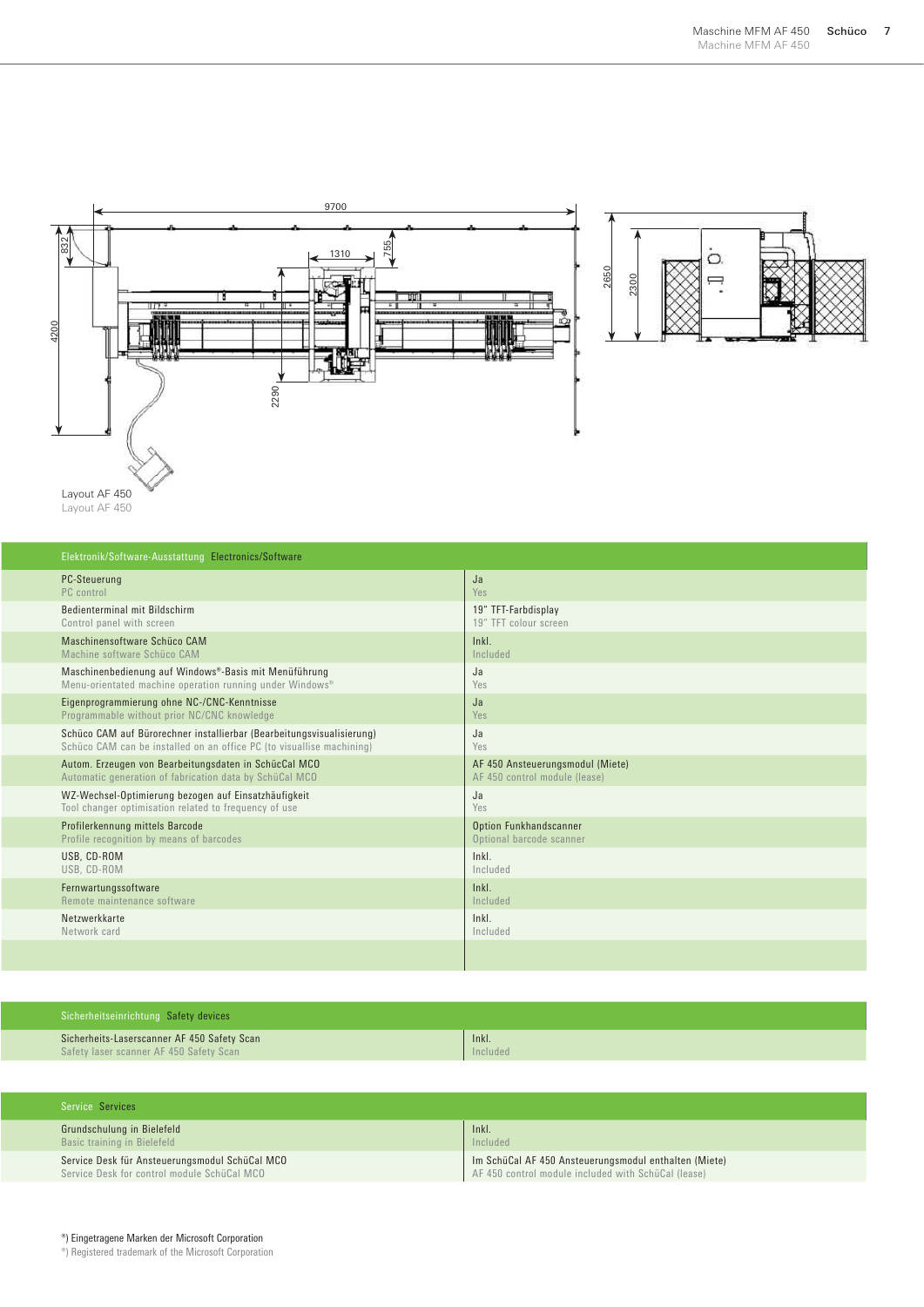



Layout AF 450 Layout AF 450

| Elektronik/Software-Ausstattung Electronics/Software                  |                                  |  |
|-----------------------------------------------------------------------|----------------------------------|--|
| <b>PC-Steuerung</b>                                                   | Ja                               |  |
| PC control                                                            | Yes                              |  |
| Bedienterminal mit Bildschirm                                         | 19" TFT-Farbdisplay              |  |
| Control panel with screen                                             | 19" TFT colour screen            |  |
| Maschinensoftware Schüco CAM                                          | ln <sub>k</sub>                  |  |
| Machine software Schüco CAM                                           | Included                         |  |
| Maschinenbedienung auf Windows®-Basis mit Menüführung                 | Ja                               |  |
| Menu-orientated machine operation running under Windows®              | Yes                              |  |
| Eigenprogrammierung ohne NC-/CNC-Kenntnisse                           | Ja                               |  |
| Programmable without prior NC/CNC knowledge                           | Yes                              |  |
| Schüco CAM auf Bürorechner installierbar (Bearbeitungsvisualisierung) | Ja                               |  |
| Schüco CAM can be installed on an office PC (to visuallise machining) | Yes                              |  |
| Autom. Erzeugen von Bearbeitungsdaten in SchücCal MCO                 | AF 450 Ansteuerungsmodul (Miete) |  |
| Automatic generation of fabrication data by SchüCal MCO               | AF 450 control module (lease)    |  |
| WZ-Wechsel-Optimierung bezogen auf Einsatzhäufigkeit                  | Ja                               |  |
| Tool changer optimisation related to frequency of use                 | Yes                              |  |
| Profilerkennung mittels Barcode                                       | Option Funkhandscanner           |  |
| Profile recognition by means of barcodes                              | Optional barcode scanner         |  |
| USB. CD-ROM                                                           | $lnkl$ .                         |  |
| USB, CD-ROM                                                           | Included                         |  |
| Fernwartungssoftware                                                  | ln <sub>k</sub>                  |  |
| Remote maintenance software                                           | Included                         |  |
| Netzwerkkarte                                                         | ln <sub>k</sub>                  |  |
| Network card                                                          | Included                         |  |
|                                                                       |                                  |  |

| Sicherheitseinrichtung Safety devices       |          |  |
|---------------------------------------------|----------|--|
| Sicherheits-Laserscanner AF 450 Safety Scan | Inkl.    |  |
| Safety laser scanner AF 450 Safety Scan     | Included |  |

| Service Services                               |                                                       |
|------------------------------------------------|-------------------------------------------------------|
| Grundschulung in Bielefeld                     | Inkl.                                                 |
| Basic training in Bielefeld                    | Included                                              |
| Service Desk für Ansteuerungsmodul SchüCal MCO | Im SchüCal AF 450 Ansteuerungsmodul enthalten (Miete) |
| Service Desk for control module SchüCal MCO    | AF 450 control module included with SchüCal (lease)   |

®) Registered trademark of the Microsoft Corporation